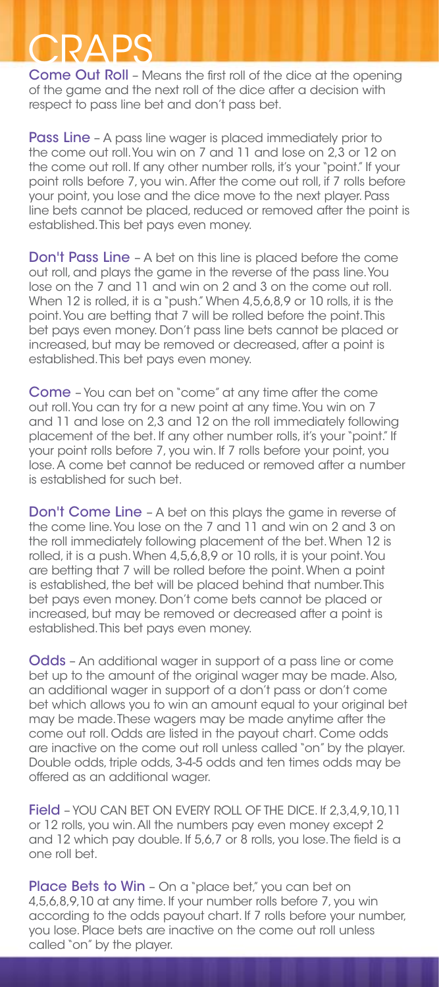## CRAPS

Come Out Roll – Means the first roll of the dice at the opening of the game and the next roll of the dice after a decision with respect to pass line bet and don't pass bet.

Pass Line - A pass line wager is placed immediately prior to the come out roll. You win on 7 and 11 and lose on 2,3 or 12 on the come out roll. If any other number rolls, it's your "point." If your point rolls before 7, you win. After the come out roll, if 7 rolls before your point, you lose and the dice move to the next player. Pass line bets cannot be placed, reduced or removed after the point is established. This bet pays even money.

Don't Pass Line – A bet on this line is placed before the come out roll, and plays the game in the reverse of the pass line. You lose on the 7 and 11 and win on 2 and 3 on the come out roll. When 12 is rolled, it is a "push." When 4,5,6,8,9 or 10 rolls, it is the point. You are betting that 7 will be rolled before the point. This bet pays even money. Don't pass line bets cannot be placed or increased, but may be removed or decreased, after a point is established. This bet pays even money.

Come – You can bet on "come" at any time after the come out roll. You can try for a new point at any time. You win on 7 and 11 and lose on 2,3 and 12 on the roll immediately following placement of the bet. If any other number rolls, it's your "point." If your point rolls before 7, you win. If 7 rolls before your point, you lose. A come bet cannot be reduced or removed after a number is established for such bet.

Don't Come Line – A bet on this plays the game in reverse of the come line. You lose on the 7 and 11 and win on 2 and 3 on the roll immediately following placement of the bet. When 12 is rolled, it is a push. When 4,5,6,8,9 or 10 rolls, it is your point. You are betting that 7 will be rolled before the point. When a point is established, the bet will be placed behind that number. This bet pays even money. Don't come bets cannot be placed or increased, but may be removed or decreased after a point is established. This bet pays even money.

Odds – An additional wager in support of a pass line or come bet up to the amount of the original wager may be made. Also, an additional wager in support of a don't pass or don't come bet which allows you to win an amount equal to your original bet may be made. These wagers may be made anytime after the come out roll. Odds are listed in the payout chart. Come odds are inactive on the come out roll unless called "on" by the player. Double odds, triple odds, 3-4-5 odds and ten times odds may be offered as an additional wager.

Field - YOU CAN BET ON EVERY ROLL OF THE DICE. If 2,3,4,9,10,11 or 12 rolls, you win. All the numbers pay even money except 2 and 12 which pay double. If 5,6,7 or 8 rolls, you lose. The field is a one roll bet.

Place Bets to Win - On a "place bet," you can bet on 4,5,6,8,9,10 at any time. If your number rolls before 7, you win according to the odds payout chart. If 7 rolls before your number, you lose. Place bets are inactive on the come out roll unless called "on" by the player.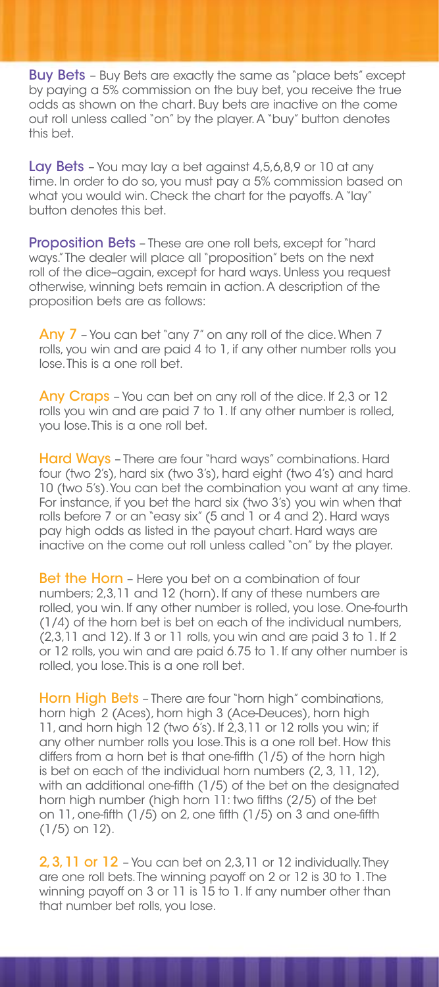**Buy Bets** - Buy Bets are exactly the same as "place bets" except by paying a 5% commission on the buy bet, you receive the true odds as shown on the chart. Buy bets are inactive on the come out roll unless called "on" by the player. A "buy" button denotes this bet.

Lay Bets - You may lay a bet against 4,5,6,8,9 or 10 at any time. In order to do so, you must pay a 5% commission based on what you would win. Check the chart for the payoffs. A "lay" button denotes this bet.

Proposition Bets - These are one roll bets, except for "hard ways." The dealer will place all "proposition" bets on the next roll of the dice–again, except for hard ways. Unless you request otherwise, winning bets remain in action. A description of the proposition bets are as follows:

Any 7 - You can bet "any 7" on any roll of the dice. When 7 rolls, you win and are paid 4 to 1, if any other number rolls you lose. This is a one roll bet.

Any Craps - You can bet on any roll of the dice. If 2,3 or 12 rolls you win and are paid 7 to 1. If any other number is rolled, you lose. This is a one roll bet.

Hard Ways - There are four "hard ways" combinations. Hard four (two 2's), hard six (two 3's), hard eight (two 4's) and hard 10 (two 5's). You can bet the combination you want at any time. For instance, if you bet the hard six (two 3's) you win when that rolls before 7 or an "easy six" (5 and 1 or 4 and 2). Hard ways pay high odds as listed in the payout chart. Hard ways are inactive on the come out roll unless called "on" by the player.

**Bet the Horn** – Here you bet on a combination of four numbers; 2,3,11 and 12 (horn). If any of these numbers are rolled, you win. If any other number is rolled, you lose. One-fourth (1/4) of the horn bet is bet on each of the individual numbers, (2,3,11 and 12). If 3 or 11 rolls, you win and are paid 3 to 1. If 2 or 12 rolls, you win and are paid 6.75 to 1. If any other number is rolled, you lose. This is a one roll bet.

Horn High Bets - There are four "horn high" combinations, horn high 2 (Aces), horn high 3 (Ace-Deuces), horn high 11, and horn high 12 (two 6's). If 2,3,11 or 12 rolls you win; if any other number rolls you lose. This is a one roll bet. How this differs from a horn bet is that one-fifth (1/5) of the horn high is bet on each of the individual horn numbers (2, 3, 11, 12), with an additional one-fifth (1/5) of the bet on the designated horn high number (high horn 11: two fifths (2/5) of the bet on  $11$ , one-fifth  $(1/5)$  on 2, one fifth  $(1/5)$  on 3 and one-fifth (1/5) on 12).

2, 3, 11 or 12 - You can bet on 2,3,11 or 12 individually. They are one roll bets. The winning payoff on 2 or 12 is 30 to 1. The winning payoff on 3 or 11 is 15 to 1. If any number other than that number bet rolls, you lose.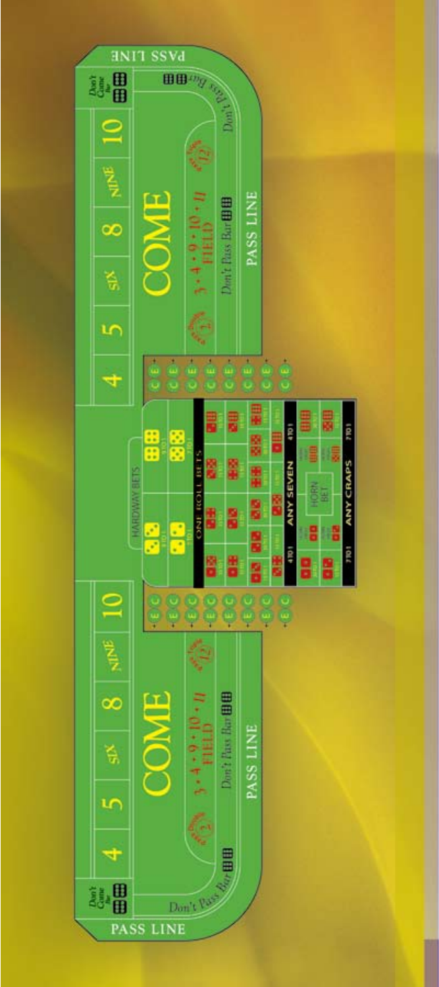